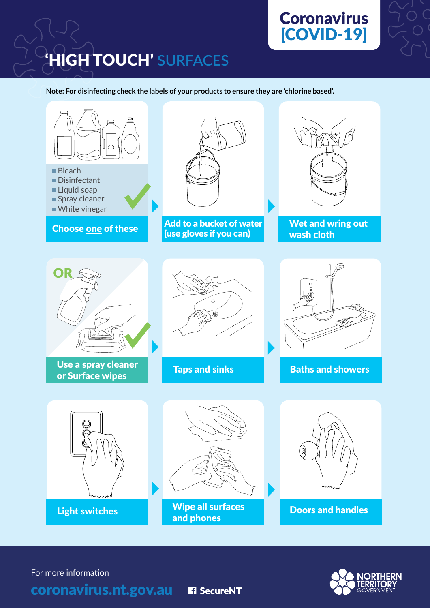

## **Coronavirus** [COVID-19]



**Note: For disinfecting check the labels of your products to ensure they are 'chlorine based'.**





For more information

coronavirus.nt.gov.au

DiSINFECTANT

BLEACH

SOAP